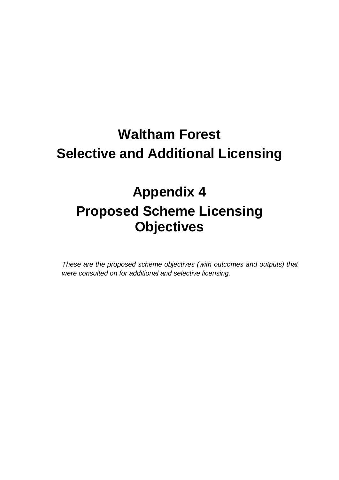## **Waltham Forest Selective and Additional Licensing**

## **Appendix 4 Proposed Scheme Licensing Objectives**

*These are the proposed scheme objectives (with outcomes and outputs) that were consulted on for additional and selective licensing.*